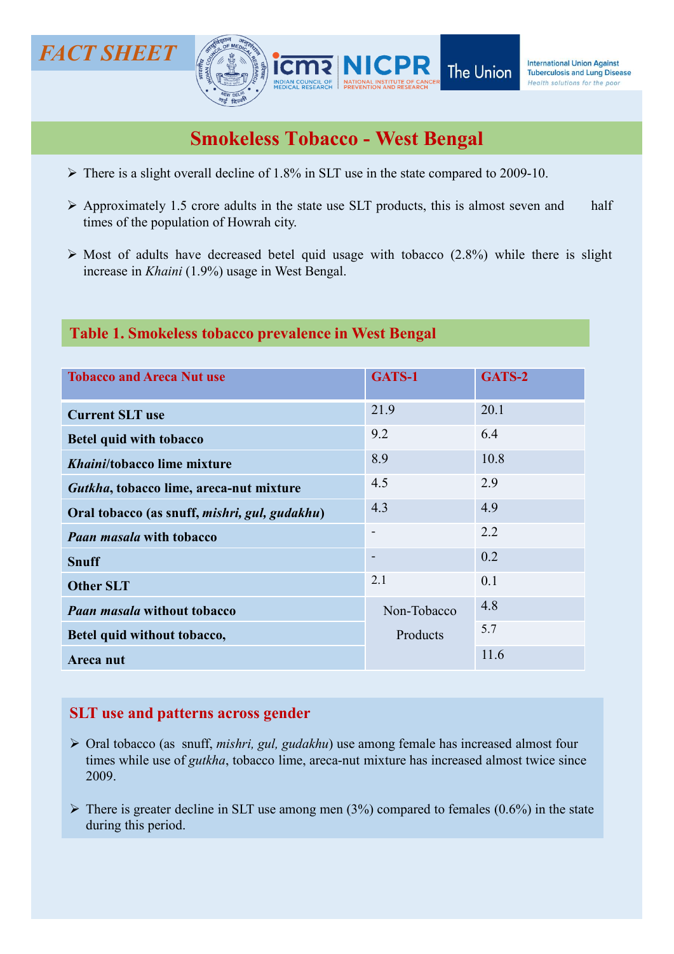# The Union Against<br>
The Union Machineses and Union Against<br>
Smokeless Tobacco - West Bengal<br>
> There is a slight overall decline of 1.8% in SLT use in the state compared to 2009-10.<br>
> Approximately 1.5 crore adults in the **APPROXIMATELY**<br>
APPROXIMATELY 1.5 crore adults in the state use SLT products, this is almost seven and half times of the population of Howrah city.<br>  $\triangleright$  Most of adults have decreased betel quid usage with tobacco (2.8 T SHEET<br> **THERET AND SERVED AND THE UNION DEPARTMENT OF THE UNION DEPARTMENT OF THE UNION OF CONTRACT THE UNION OF CONTRACT OF THE POST SUIT USE OF THE POPULATION OF A PAPERTMENT OF THE POPULATION OF THE POPULATION OF THE** CT SHEET<br>
MICPR The Union Encodes Union Against<br>
Smokeless Tobacco - West Bengal<br>
A There is a slight overall decline of 1.8% in SLT use in the state compared to 2009-10.<br>
Approximately 1.5 croce adults in the state use S IT SHEET<br> **INCPR** The Union **International Union Agency**<br> **INCPR** The Union **International Union Agency**<br> **INCPR** The Union **International Union Constrained Agency**<br>
There is a slight overall decline of 1.8% in SLT use in FACT SHEET **FACT SHEET** Smokeless Tobacco - West Bengal<br>
The Union States of the poor Theorem and the States of the South Solutions for the poor<br>
Smokeless Tobacco - West Bengal<br>
The Smokeless Tobacco - West Bengal<br>
The Solutions for the poor<br>
Sm

- 
- 
- 

## Table 1. Smokeless tobacco prevalence in West Bengal

| <b>Smokeless Tobacco - West Bengal</b><br>$\triangleright$ There is a slight overall decline of 1.8% in SLT use in the state compared to 2009-10.<br>$\triangleright$ Approximately 1.5 crore adults in the state use SLT products, this is almost seven and<br>times of the population of Howrah city.<br>$\triangleright$ Most of adults have decreased betel quid usage with tobacco (2.8%) while there is slight<br>increase in <i>Khaini</i> (1.9%) usage in West Bengal.<br>Table 1. Smokeless tobacco prevalence in West Bengal<br><b>Tobacco and Areca Nut use</b><br>GATS-1<br>GATS-2<br>21.9<br>20.1<br><b>Current SLT use</b><br>9.2<br>6.4<br><b>Betel quid with tobacco</b><br>10.8<br>8.9<br>Khaini/tobacco lime mixture<br>4.5<br>2.9<br>Gutkha, tobacco lime, areca-nut mixture<br>4.3<br>4.9<br>Oral tobacco (as snuff, mishri, gul, gudakhu)<br>2.2<br>$\overline{\phantom{a}}$<br><b>Paan masala with tobacco</b><br>0.2<br>$\overline{\phantom{a}}$<br><b>Snuff</b><br>2.1<br>0.1<br><b>Other SLT</b><br>4.8<br>Non-Tobacco<br><b>Paan masala without tobacco</b><br>5.7<br>Products<br>Betel quid without tobacco,<br>11.6<br>Areca nut | MEDICAL RESEARCH   PREVENTION AND RESEARCH | Health Suidhuns fur the pou |
|--------------------------------------------------------------------------------------------------------------------------------------------------------------------------------------------------------------------------------------------------------------------------------------------------------------------------------------------------------------------------------------------------------------------------------------------------------------------------------------------------------------------------------------------------------------------------------------------------------------------------------------------------------------------------------------------------------------------------------------------------------------------------------------------------------------------------------------------------------------------------------------------------------------------------------------------------------------------------------------------------------------------------------------------------------------------------------------------------------------------------------------------------------------|--------------------------------------------|-----------------------------|
|                                                                                                                                                                                                                                                                                                                                                                                                                                                                                                                                                                                                                                                                                                                                                                                                                                                                                                                                                                                                                                                                                                                                                              |                                            |                             |
|                                                                                                                                                                                                                                                                                                                                                                                                                                                                                                                                                                                                                                                                                                                                                                                                                                                                                                                                                                                                                                                                                                                                                              |                                            |                             |
|                                                                                                                                                                                                                                                                                                                                                                                                                                                                                                                                                                                                                                                                                                                                                                                                                                                                                                                                                                                                                                                                                                                                                              |                                            |                             |
|                                                                                                                                                                                                                                                                                                                                                                                                                                                                                                                                                                                                                                                                                                                                                                                                                                                                                                                                                                                                                                                                                                                                                              |                                            |                             |
|                                                                                                                                                                                                                                                                                                                                                                                                                                                                                                                                                                                                                                                                                                                                                                                                                                                                                                                                                                                                                                                                                                                                                              |                                            |                             |
|                                                                                                                                                                                                                                                                                                                                                                                                                                                                                                                                                                                                                                                                                                                                                                                                                                                                                                                                                                                                                                                                                                                                                              |                                            |                             |
|                                                                                                                                                                                                                                                                                                                                                                                                                                                                                                                                                                                                                                                                                                                                                                                                                                                                                                                                                                                                                                                                                                                                                              |                                            |                             |
|                                                                                                                                                                                                                                                                                                                                                                                                                                                                                                                                                                                                                                                                                                                                                                                                                                                                                                                                                                                                                                                                                                                                                              |                                            |                             |
|                                                                                                                                                                                                                                                                                                                                                                                                                                                                                                                                                                                                                                                                                                                                                                                                                                                                                                                                                                                                                                                                                                                                                              |                                            |                             |
|                                                                                                                                                                                                                                                                                                                                                                                                                                                                                                                                                                                                                                                                                                                                                                                                                                                                                                                                                                                                                                                                                                                                                              |                                            |                             |
|                                                                                                                                                                                                                                                                                                                                                                                                                                                                                                                                                                                                                                                                                                                                                                                                                                                                                                                                                                                                                                                                                                                                                              |                                            |                             |
|                                                                                                                                                                                                                                                                                                                                                                                                                                                                                                                                                                                                                                                                                                                                                                                                                                                                                                                                                                                                                                                                                                                                                              |                                            |                             |
|                                                                                                                                                                                                                                                                                                                                                                                                                                                                                                                                                                                                                                                                                                                                                                                                                                                                                                                                                                                                                                                                                                                                                              |                                            |                             |
|                                                                                                                                                                                                                                                                                                                                                                                                                                                                                                                                                                                                                                                                                                                                                                                                                                                                                                                                                                                                                                                                                                                                                              |                                            |                             |
|                                                                                                                                                                                                                                                                                                                                                                                                                                                                                                                                                                                                                                                                                                                                                                                                                                                                                                                                                                                                                                                                                                                                                              |                                            |                             |
|                                                                                                                                                                                                                                                                                                                                                                                                                                                                                                                                                                                                                                                                                                                                                                                                                                                                                                                                                                                                                                                                                                                                                              |                                            |                             |
|                                                                                                                                                                                                                                                                                                                                                                                                                                                                                                                                                                                                                                                                                                                                                                                                                                                                                                                                                                                                                                                                                                                                                              |                                            |                             |
|                                                                                                                                                                                                                                                                                                                                                                                                                                                                                                                                                                                                                                                                                                                                                                                                                                                                                                                                                                                                                                                                                                                                                              | <b>SLT</b> use and patterns across gender  |                             |

## SLT use and patterns across gender

- $\triangleright$  Oral tobacco (as snuff, *mishri, gul, gudakhu*) use among female has increased almost four times while use of gutkha, tobacco lime, areca-nut mixture has increased almost twice since 2009.
- $\triangleright$  There is greater decline in SLT use among men (3%) compared to females (0.6%) in the state during this period.